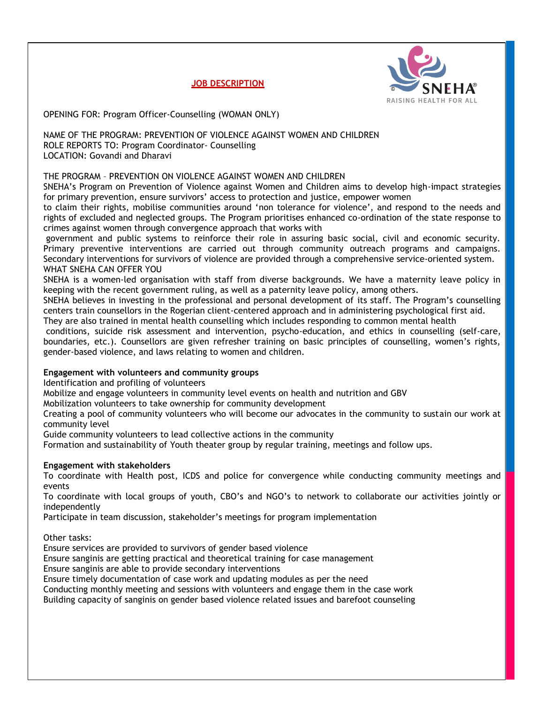

**JOB DESCRIPTION**

OPENING FOR: Program Officer-Counselling (WOMAN ONLY)

NAME OF THE PROGRAM: PREVENTION OF VIOLENCE AGAINST WOMEN AND CHILDREN ROLE REPORTS TO: Program Coordinator- Counselling LOCATION: Govandi and Dharavi

# THE PROGRAM – PREVENTION ON VIOLENCE AGAINST WOMEN AND CHILDREN

SNEHA's Program on Prevention of Violence against Women and Children aims to develop high‐impact strategies for primary prevention, ensure survivors' access to protection and justice, empower women

to claim their rights, mobilise communities around 'non tolerance for violence', and respond to the needs and rights of excluded and neglected groups. The Program prioritises enhanced co-ordination of the state response to crimes against women through convergence approach that works with

government and public systems to reinforce their role in assuring basic social, civil and economic security. Primary preventive interventions are carried out through community outreach programs and campaigns. Secondary interventions for survivors of violence are provided through a comprehensive service-oriented system. WHAT SNEHA CAN OFFER YOU

SNEHA is a women-led organisation with staff from diverse backgrounds. We have a maternity leave policy in keeping with the recent government ruling, as well as a paternity leave policy, among others.

SNEHA believes in investing in the professional and personal development of its staff. The Program's counselling centers train counsellors in the Rogerian client-centered approach and in administering psychological first aid.

They are also trained in mental health counselling which includes responding to common mental health

conditions, suicide risk assessment and intervention, psycho-education, and ethics in counselling (self-care, boundaries, etc.). Counsellors are given refresher training on basic principles of counselling, women's rights, gender-based violence, and laws relating to women and children.

# **Engagement with volunteers and community groups**

Identification and profiling of volunteers

Mobilize and engage volunteers in community level events on health and nutrition and GBV

Mobilization volunteers to take ownership for community development

Creating a pool of community volunteers who will become our advocates in the community to sustain our work at community level

Guide community volunteers to lead collective actions in the community

Formation and sustainability of Youth theater group by regular training, meetings and follow ups.

# **Engagement with stakeholders**

To coordinate with Health post, ICDS and police for convergence while conducting community meetings and events

To coordinate with local groups of youth, CBO's and NGO's to network to collaborate our activities jointly or independently

Participate in team discussion, stakeholder's meetings for program implementation

Other tasks:

Ensure services are provided to survivors of gender based violence

Ensure sanginis are getting practical and theoretical training for case management

Ensure sanginis are able to provide secondary interventions

Ensure timely documentation of case work and updating modules as per the need

Conducting monthly meeting and sessions with volunteers and engage them in the case work Building capacity of sanginis on gender based violence related issues and barefoot counseling